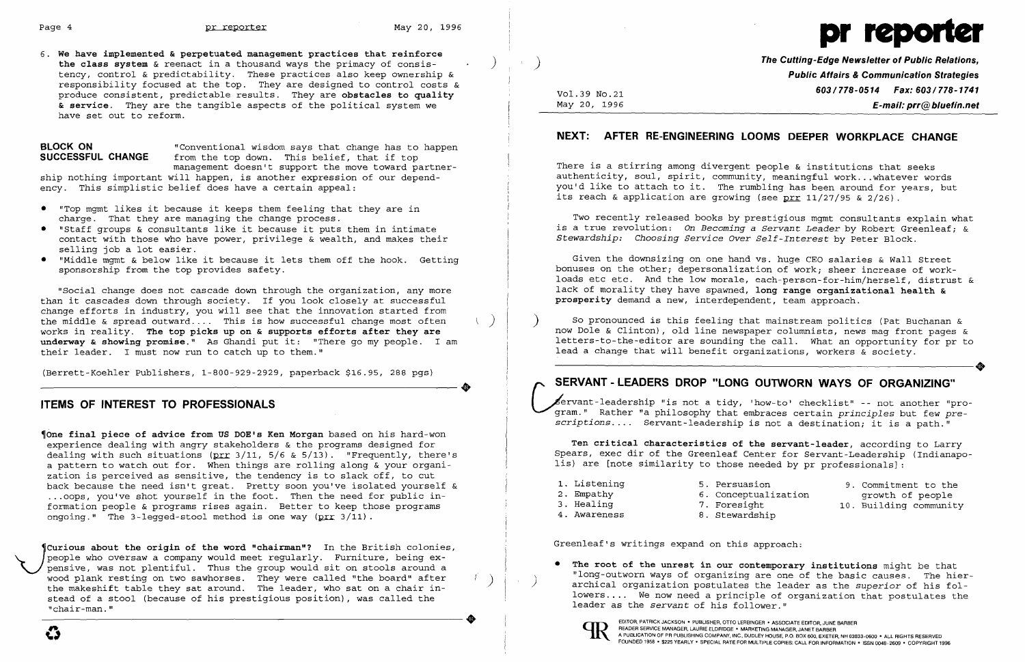6. **We have implemented & perpetuated management practices that reinforce**  the class system & reenact in a thousand ways the primacy of consistency, control & predictability. These practices also keep ownership & responsibility focused at the top. They are designed to control costs & produce consistent, predictable results. They are **obstacles to quality & service.** They are the tangible aspects of the pOlitical system we have set out to reform.

**BLOCK ON** "Conventional wisdom says that change has to happen<br>**SUCCESSFUL CHANGE** from the top down. This belief, that if top from the top down. This belief, that if top management doesn't support the move toward partnership nothing important will happen, is another expression of our dependency. This simplistic belief does have a certain appeal:

(Berrett-Koehler Publishers, 1-800-929-2929, paperback \$16.95, 288 pgs) (Berrett-Koehler Publishers, 1-800-929-2929, paperback \$16.95, 288 pgs)<br>
TIME OF INTERECT TO PROFECCIONALS

~One **final piece of advice from US DOE's Ken Morgan** based on his hard-won experience dealing with angry stakeholders & the programs designed for dealing with such situations ( $prr$  3/11, 5/6 & 5/13). "Frequently, there's a pattern to watch out for. When things are rolling along & your organization is perceived as sensitive, the tendency is to slack off, to cut back because the need isn't great. Pretty soon you've isolated yourself & ... oops, you've shot yourself in the foot. Then the need for public information people & programs rises again. Better to keep those programs ongoing." The 3-legged-stool method is one way  $(prr \ 3/11)$ .

Curious about the origin of the word "chairman"? In the British colonies,<br>people who oversaw a company would meet regularly. Furniture, being ex-<br>wood plank resting on two sawhorses. They were called "the board" after people who oversaw a company would meet regularly. Furniture, being expensive, was not plentiful. Thus the group would sit on stools around a wood plank resting on two sawhorses. They were called "the board" after the makeshift table they sat around. The leader, who sat on a chair instead of a stool (because of his prestigious position), was called the  $"char-man.$ " and the makeshift table they sat around. The leader, who sat on a chair in-<br>stead of a stool (because of his prestigious position), was called the<br>"chair-man."<br>**ARRICK SCHALL AND THE SURPORT ON A SCALL AND AND A SCALL AND** 

- • "Top mgmt likes it because it keeps them feeling that they are in charge. That they are managing the change process.
- • "Staff groups & consultants like it because it puts them in intimate contact with those who have power, privilege & wealth, and makes their selling job a lot easier.
- • "Middle mgmt & below like it because it lets them off the hook. Getting sponsorship from the top provides safety.

"Social change does not cascade down through the organization, any more than it cascades down through society. If you look closely at successful change efforts in industry, you will see that the innovation started from the middle & spread outward.... This is how successful change most often works in reality. **The top picks up on & supports efforts after they are underway & showing promise."** As Ghandi put it: "There go my people. I am their leader. I must now run to catch up to them."

There is a stirring among divergent people & institutions that seeks authenticity, soul, spirit, community, meaningful work ...whatever words you'd like to attach to it. The rumbling has been around for years, but its reach & application are growing (see prr 11/27/95 & 2/26).

### **ITEMS OF INTEREST TO PROFESSIONALS**

archical organization postulates the leader as the *superior* of his followers .... We now need a principle of organization that postulates the

• The root of the unrest in our contemporary institutions might be that "long-outworn ways of organizing are one of the basic causes. The hierleader as the *servant* of his follower."



)

Vol. 39 No. 21 May 20, 1996



**The Cutting-Edge Newsletter of Public Relations, Public Affairs & Communication Strategies**  *603/778-0514 Fax: 603/778-1741*  **E-mail: prr@bluefin.net** 

6. Conceptualization

### **NEXT: AFTER RE-ENGINEERING LOOMS DEEPER WORKPLACE CHANGE**

Two recently released books by prestigious mgmt consultants explain what is a true revolution: *On Becoming* a *Servant Leader* by Robert Greenleaf; & *Stewardship: Choosing Service Over Self-Interest* by Peter Block.

Given the downsizing on one hand vs. huge CEO salaries & Wall Street bonuses on the other; depersonalization of work; sheer increase of workloads etc etc. And the low morale, each-person-for-him/herself, distrust & lack of morality they have spawned, **long range organizational health & prosperity** demand a new, interdependent, team approach.

) So pronounced is this feeling that mainstream politics (Pat Buchanan & now Dole & Clinton), old line newspaper columnists, news mag front pages & letters-to-the-editor are sounding the call. What an opportunity for pr to lead a change that will benefit organizations, workers & society. lead a change that will benefit organizations, workers & society.

## **SERVANT -LEADERS DROP "LONG OUTWORN WAYS OF ORGANIZING"**

*r* ~rvant-IeadershiP "is not a tidy, 'how-to' checklist" -- not another "pro ~~am." Rather "a philosophy that embraces certain *principles* but few *prescriptions.* . . . Servant-leadership is not a destination; it is a path."

**Ten critical characteristics of the servant-leader,** *according* to Larry Spears, exec dir of the Greenleaf Center for Servant-Leadership (Indianapolis) are [note similarity to those needed by pr professionals] :

- 1. Listening 5. Persuasion
- 2. Empathy
- 3. Healing
- 7. Foresight 8. Stewardship
- 4. Awareness

Greenleaf's writings expand on this approach:

9. Commitment to the growth of people 10. Building community